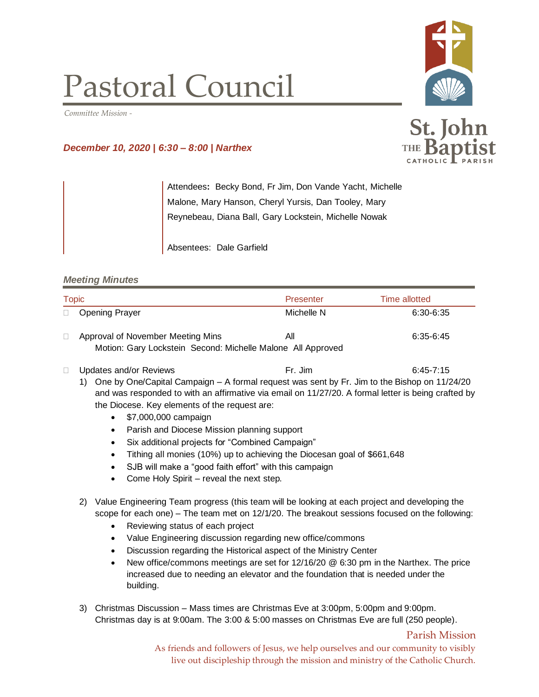## Pastoral Council

*Committee Mission -*

## *December 10, 2020 | 6:30 – 8:00 | Narthex*

Attendees**:** Becky Bond, Fr Jim, Don Vande Yacht, Michelle Malone, Mary Hanson, Cheryl Yursis, Dan Tooley, Mary Reynebeau, Diana Ball, Gary Lockstein, Michelle Nowak

Absentees: Dale Garfield

## *Meeting Minutes*

| <b>Topic</b> |                                                             | Presenter  | Time allotted |  |
|--------------|-------------------------------------------------------------|------------|---------------|--|
|              | □ Opening Prayer                                            | Michelle N | 6:30-6:35     |  |
|              | Approval of November Meeting Mins                           | All        | 6:35-6:45     |  |
|              | Motion: Gary Lockstein Second: Michelle Malone All Approved |            |               |  |

- □ Updates and/or Reviews Fr. Jim Fr. Jim 6:45-7:15
	- 1) One by One/Capital Campaign A formal request was sent by Fr. Jim to the Bishop on 11/24/20 and was responded to with an affirmative via email on 11/27/20. A formal letter is being crafted by the Diocese. Key elements of the request are:
		- \$7,000,000 campaign
		- Parish and Diocese Mission planning support
		- Six additional projects for "Combined Campaign"
		- Tithing all monies (10%) up to achieving the Diocesan goal of \$661,648
		- SJB will make a "good faith effort" with this campaign
		- Come Holy Spirit reveal the next step.
	- 2) Value Engineering Team progress (this team will be looking at each project and developing the scope for each one) – The team met on 12/1/20. The breakout sessions focused on the following:
		- Reviewing status of each project
		- Value Engineering discussion regarding new office/commons
		- Discussion regarding the Historical aspect of the Ministry Center
		- New office/commons meetings are set for 12/16/20 @ 6:30 pm in the Narthex. The price increased due to needing an elevator and the foundation that is needed under the building.
	- 3) Christmas Discussion Mass times are Christmas Eve at 3:00pm, 5:00pm and 9:00pm. Christmas day is at 9:00am. The 3:00 & 5:00 masses on Christmas Eve are full (250 people).

As friends and followers of Jesus, we help ourselves and our community to visibly live out discipleship through the mission and ministry of the Catholic Church.





St. John

Parish Mission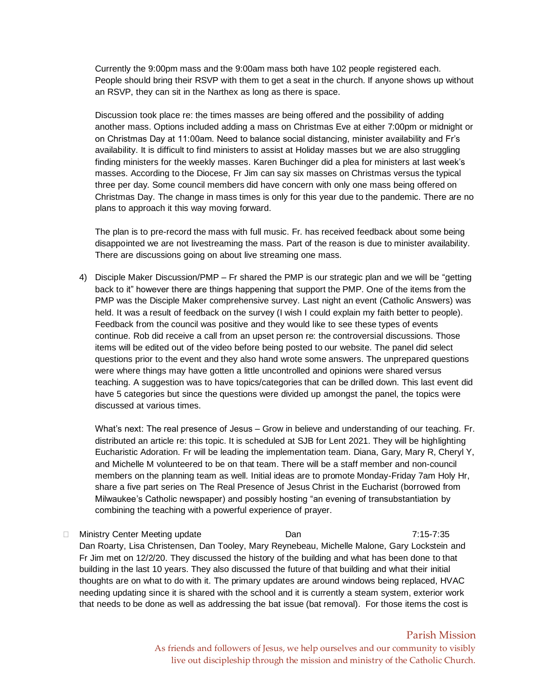Currently the 9:00pm mass and the 9:00am mass both have 102 people registered each. People should bring their RSVP with them to get a seat in the church. If anyone shows up without an RSVP, they can sit in the Narthex as long as there is space.

Discussion took place re: the times masses are being offered and the possibility of adding another mass. Options included adding a mass on Christmas Eve at either 7:00pm or midnight or on Christmas Day at 11:00am. Need to balance social distancing, minister availability and Fr's availability. It is difficult to find ministers to assist at Holiday masses but we are also struggling finding ministers for the weekly masses. Karen Buchinger did a plea for ministers at last week's masses. According to the Diocese, Fr Jim can say six masses on Christmas versus the typical three per day. Some council members did have concern with only one mass being offered on Christmas Day. The change in mass times is only for this year due to the pandemic. There are no plans to approach it this way moving forward.

The plan is to pre-record the mass with full music. Fr. has received feedback about some being disappointed we are not livestreaming the mass. Part of the reason is due to minister availability. There are discussions going on about live streaming one mass.

4) Disciple Maker Discussion/PMP – Fr shared the PMP is our strategic plan and we will be "getting back to it" however there are things happening that support the PMP. One of the items from the PMP was the Disciple Maker comprehensive survey. Last night an event (Catholic Answers) was held. It was a result of feedback on the survey (I wish I could explain my faith better to people). Feedback from the council was positive and they would like to see these types of events continue. Rob did receive a call from an upset person re: the controversial discussions. Those items will be edited out of the video before being posted to our website. The panel did select questions prior to the event and they also hand wrote some answers. The unprepared questions were where things may have gotten a little uncontrolled and opinions were shared versus teaching. A suggestion was to have topics/categories that can be drilled down. This last event did have 5 categories but since the questions were divided up amongst the panel, the topics were discussed at various times.

What's next: The real presence of Jesus – Grow in believe and understanding of our teaching. Fr. distributed an article re: this topic. It is scheduled at SJB for Lent 2021. They will be highlighting Eucharistic Adoration. Fr will be leading the implementation team. Diana, Gary, Mary R, Cheryl Y, and Michelle M volunteered to be on that team. There will be a staff member and non-council members on the planning team as well. Initial ideas are to promote Monday-Friday 7am Holy Hr, share a five part series on The Real Presence of Jesus Christ in the Eucharist (borrowed from Milwaukee's Catholic newspaper) and possibly hosting "an evening of transubstantiation by combining the teaching with a powerful experience of prayer.

□ Ministry Center Meeting update Dan Dan Dan 7:15-7:35 Dan Roarty, Lisa Christensen, Dan Tooley, Mary Reynebeau, Michelle Malone, Gary Lockstein and Fr Jim met on 12/2/20. They discussed the history of the building and what has been done to that building in the last 10 years. They also discussed the future of that building and what their initial thoughts are on what to do with it. The primary updates are around windows being replaced, HVAC needing updating since it is shared with the school and it is currently a steam system, exterior work that needs to be done as well as addressing the bat issue (bat removal). For those items the cost is

> Parish Mission As friends and followers of Jesus, we help ourselves and our community to visibly live out discipleship through the mission and ministry of the Catholic Church.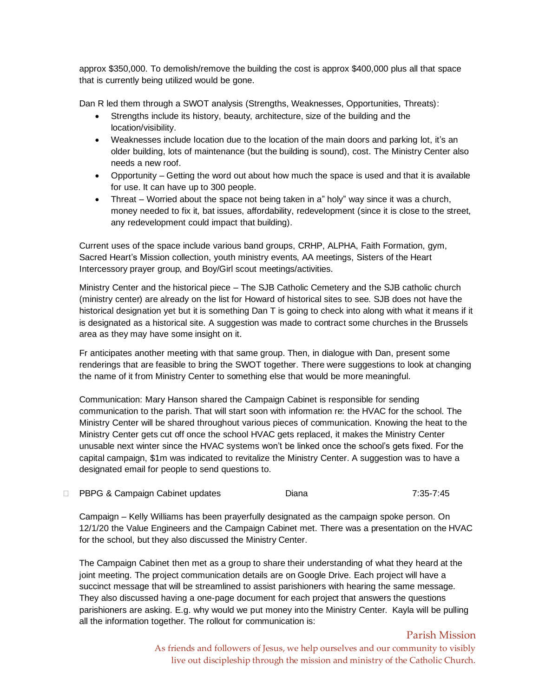approx \$350,000. To demolish/remove the building the cost is approx \$400,000 plus all that space that is currently being utilized would be gone.

Dan R led them through a SWOT analysis (Strengths, Weaknesses, Opportunities, Threats):

- Strengths include its history, beauty, architecture, size of the building and the location/visibility.
- Weaknesses include location due to the location of the main doors and parking lot, it's an older building, lots of maintenance (but the building is sound), cost. The Ministry Center also needs a new roof.
- Opportunity Getting the word out about how much the space is used and that it is available for use. It can have up to 300 people.
- Threat Worried about the space not being taken in a" holy" way since it was a church, money needed to fix it, bat issues, affordability, redevelopment (since it is close to the street, any redevelopment could impact that building).

Current uses of the space include various band groups, CRHP, ALPHA, Faith Formation, gym, Sacred Heart's Mission collection, youth ministry events, AA meetings, Sisters of the Heart Intercessory prayer group, and Boy/Girl scout meetings/activities.

Ministry Center and the historical piece – The SJB Catholic Cemetery and the SJB catholic church (ministry center) are already on the list for Howard of historical sites to see. SJB does not have the historical designation yet but it is something Dan T is going to check into along with what it means if it is designated as a historical site. A suggestion was made to contract some churches in the Brussels area as they may have some insight on it.

Fr anticipates another meeting with that same group. Then, in dialogue with Dan, present some renderings that are feasible to bring the SWOT together. There were suggestions to look at changing the name of it from Ministry Center to something else that would be more meaningful.

Communication: Mary Hanson shared the Campaign Cabinet is responsible for sending communication to the parish. That will start soon with information re: the HVAC for the school. The Ministry Center will be shared throughout various pieces of communication. Knowing the heat to the Ministry Center gets cut off once the school HVAC gets replaced, it makes the Ministry Center unusable next winter since the HVAC systems won't be linked once the school's gets fixed. For the capital campaign, \$1m was indicated to revitalize the Ministry Center. A suggestion was to have a designated email for people to send questions to.

□ PBPG & Campaign Cabinet updates Diana Diana 7:35-7:45

Campaign – Kelly Williams has been prayerfully designated as the campaign spoke person. On 12/1/20 the Value Engineers and the Campaign Cabinet met. There was a presentation on the HVAC for the school, but they also discussed the Ministry Center.

The Campaign Cabinet then met as a group to share their understanding of what they heard at the joint meeting. The project communication details are on Google Drive. Each project will have a succinct message that will be streamlined to assist parishioners with hearing the same message. They also discussed having a one-page document for each project that answers the questions parishioners are asking. E.g. why would we put money into the Ministry Center. Kayla will be pulling all the information together. The rollout for communication is:

> As friends and followers of Jesus, we help ourselves and our community to visibly live out discipleship through the mission and ministry of the Catholic Church.

Parish Mission